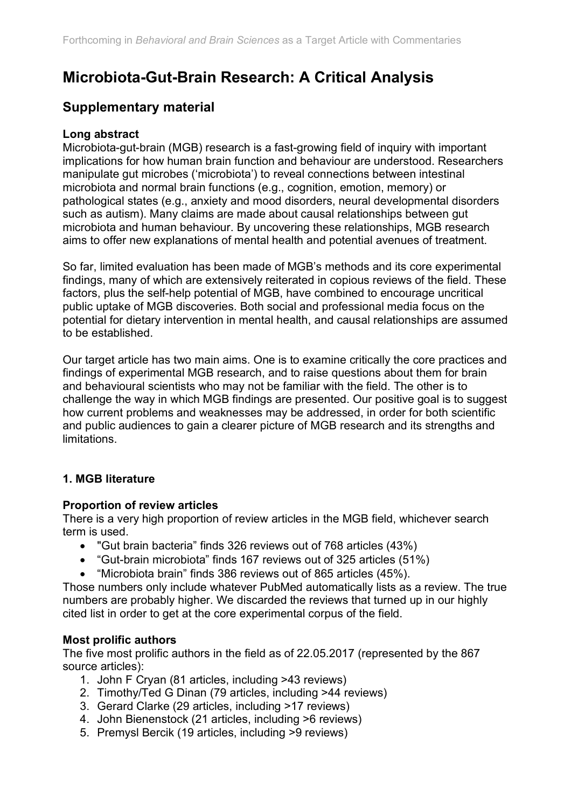# **Microbiota-Gut-Brain Research: A Critical Analysis**

### **Supplementary material**

#### **Long abstract**

Microbiota-gut-brain (MGB) research is a fast-growing field of inquiry with important implications for how human brain function and behaviour are understood. Researchers manipulate gut microbes ('microbiota') to reveal connections between intestinal microbiota and normal brain functions (e.g., cognition, emotion, memory) or pathological states (e.g., anxiety and mood disorders, neural developmental disorders such as autism). Many claims are made about causal relationships between gut microbiota and human behaviour. By uncovering these relationships, MGB research aims to offer new explanations of mental health and potential avenues of treatment.

So far, limited evaluation has been made of MGB's methods and its core experimental findings, many of which are extensively reiterated in copious reviews of the field. These factors, plus the self-help potential of MGB, have combined to encourage uncritical public uptake of MGB discoveries. Both social and professional media focus on the potential for dietary intervention in mental health, and causal relationships are assumed to be established.

Our target article has two main aims. One is to examine critically the core practices and findings of experimental MGB research, and to raise questions about them for brain and behavioural scientists who may not be familiar with the field. The other is to challenge the way in which MGB findings are presented. Our positive goal is to suggest how current problems and weaknesses may be addressed, in order for both scientific and public audiences to gain a clearer picture of MGB research and its strengths and limitations.

#### **1. MGB literature**

#### **Proportion of review articles**

There is a very high proportion of review articles in the MGB field, whichever search term is used.

- "Gut brain bacteria" finds 326 reviews out of 768 articles (43%)
- "Gut-brain microbiota" finds 167 reviews out of 325 articles (51%)
- "Microbiota brain" finds 386 reviews out of 865 articles (45%).

Those numbers only include whatever PubMed automatically lists as a review. The true numbers are probably higher. We discarded the reviews that turned up in our highly cited list in order to get at the core experimental corpus of the field.

#### **Most prolific authors**

The five most prolific authors in the field as of 22.05.2017 (represented by the 867 source articles):

- 1. John F Cryan (81 articles, including >43 reviews)
- 2. Timothy/Ted G Dinan (79 articles, including >44 reviews)
- 3. Gerard Clarke (29 articles, including >17 reviews)
- 4. John Bienenstock (21 articles, including >6 reviews)
- 5. Premysl Bercik (19 articles, including >9 reviews)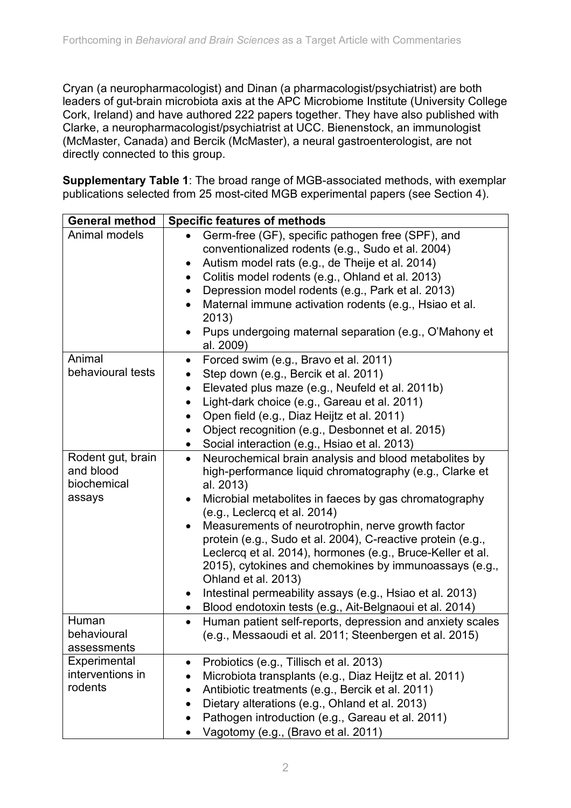Cryan (a neuropharmacologist) and Dinan (a pharmacologist/psychiatrist) are both leaders of gut-brain microbiota axis at the APC Microbiome Institute (University College Cork, Ireland) and have authored 222 papers together. They have also published with Clarke, a neuropharmacologist/psychiatrist at UCC. Bienenstock, an immunologist (McMaster, Canada) and Bercik (McMaster), a neural gastroenterologist, are not directly connected to this group.

**Supplementary Table 1**: The broad range of MGB-associated methods, with exemplar publications selected from 25 most-cited MGB experimental papers (see Section 4).

| <b>General method</b>                                   | <b>Specific features of methods</b>                                                                                                                                                                                                                                                                                                                                                                                                                                                                                                                                                                                                                          |
|---------------------------------------------------------|--------------------------------------------------------------------------------------------------------------------------------------------------------------------------------------------------------------------------------------------------------------------------------------------------------------------------------------------------------------------------------------------------------------------------------------------------------------------------------------------------------------------------------------------------------------------------------------------------------------------------------------------------------------|
| Animal models                                           | Germ-free (GF), specific pathogen free (SPF), and<br>conventionalized rodents (e.g., Sudo et al. 2004)<br>Autism model rats (e.g., de Theije et al. 2014)<br>$\bullet$<br>Colitis model rodents (e.g., Ohland et al. 2013)<br>٠<br>Depression model rodents (e.g., Park et al. 2013)<br>$\bullet$<br>Maternal immune activation rodents (e.g., Hsiao et al.<br>2013)<br>Pups undergoing maternal separation (e.g., O'Mahony et<br>al. 2009)                                                                                                                                                                                                                  |
| Animal<br>behavioural tests                             | Forced swim (e.g., Bravo et al. 2011)<br>$\bullet$<br>Step down (e.g., Bercik et al. 2011)<br>Elevated plus maze (e.g., Neufeld et al. 2011b)<br>$\bullet$<br>Light-dark choice (e.g., Gareau et al. 2011)<br>$\bullet$<br>Open field (e.g., Diaz Heijtz et al. 2011)<br>$\bullet$<br>Object recognition (e.g., Desbonnet et al. 2015)<br>٠<br>Social interaction (e.g., Hsiao et al. 2013)<br>$\bullet$                                                                                                                                                                                                                                                     |
| Rodent gut, brain<br>and blood<br>biochemical<br>assays | Neurochemical brain analysis and blood metabolites by<br>$\bullet$<br>high-performance liquid chromatography (e.g., Clarke et<br>al. 2013)<br>Microbial metabolites in faeces by gas chromatography<br>(e.g., Leclercq et al. 2014)<br>Measurements of neurotrophin, nerve growth factor<br>$\bullet$<br>protein (e.g., Sudo et al. 2004), C-reactive protein (e.g.,<br>Leclercq et al. 2014), hormones (e.g., Bruce-Keller et al.<br>2015), cytokines and chemokines by immunoassays (e.g.,<br>Ohland et al. 2013)<br>Intestinal permeability assays (e.g., Hsiao et al. 2013)<br>$\bullet$<br>Blood endotoxin tests (e.g., Ait-Belgnaoui et al. 2014)<br>٠ |
| Human<br>behavioural<br>assessments                     | Human patient self-reports, depression and anxiety scales<br>٠<br>(e.g., Messaoudi et al. 2011; Steenbergen et al. 2015)                                                                                                                                                                                                                                                                                                                                                                                                                                                                                                                                     |
| Experimental<br>interventions in<br>rodents             | Probiotics (e.g., Tillisch et al. 2013)<br>Microbiota transplants (e.g., Diaz Heijtz et al. 2011)<br>$\bullet$<br>Antibiotic treatments (e.g., Bercik et al. 2011)<br>٠<br>Dietary alterations (e.g., Ohland et al. 2013)<br>$\bullet$<br>Pathogen introduction (e.g., Gareau et al. 2011)<br>Vagotomy (e.g., (Bravo et al. 2011)                                                                                                                                                                                                                                                                                                                            |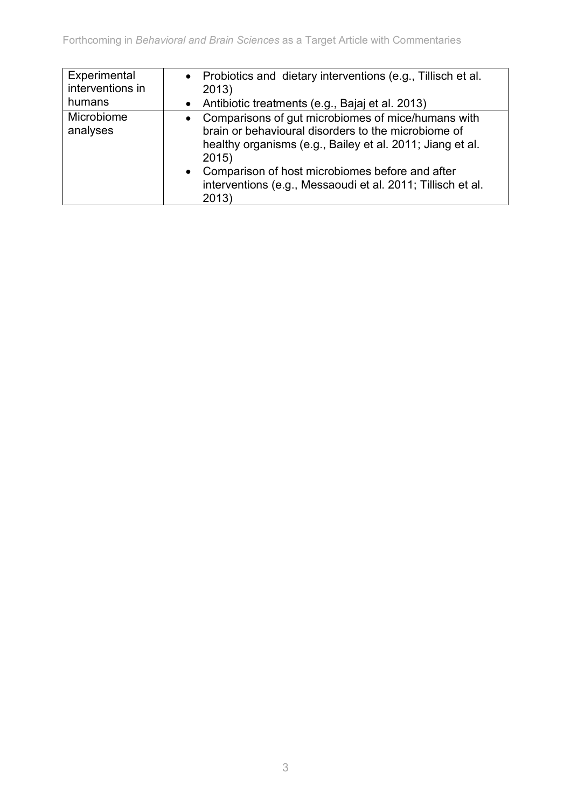| Experimental<br>interventions in<br>humans | • Probiotics and dietary interventions (e.g., Tillisch et al.<br>2013)<br>• Antibiotic treatments (e.g., Bajaj et al. 2013)                                                                                                                                                                                               |
|--------------------------------------------|---------------------------------------------------------------------------------------------------------------------------------------------------------------------------------------------------------------------------------------------------------------------------------------------------------------------------|
| Microbiome<br>analyses                     | Comparisons of gut microbiomes of mice/humans with<br>$\bullet$<br>brain or behavioural disorders to the microbiome of<br>healthy organisms (e.g., Bailey et al. 2011; Jiang et al.<br>2015)<br>• Comparison of host microbiomes before and after<br>interventions (e.g., Messaoudi et al. 2011; Tillisch et al.<br>2013) |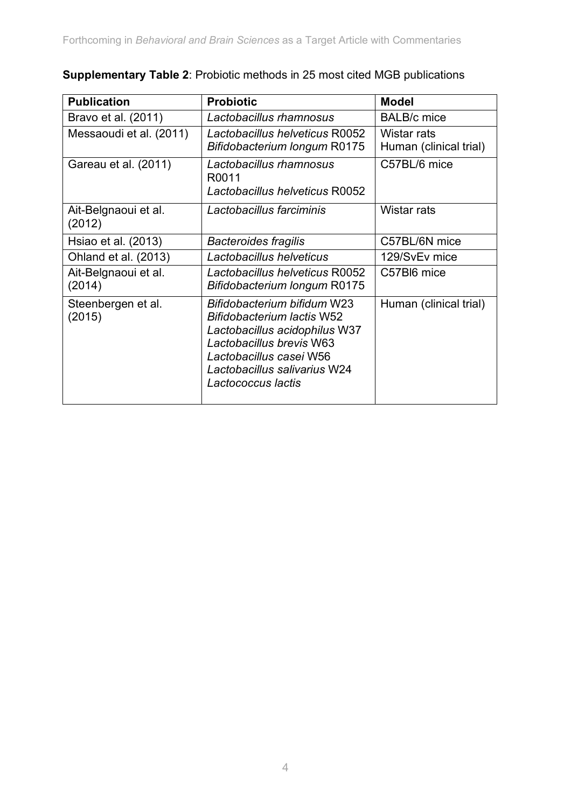| <b>Publication</b>             | <b>Probiotic</b>                                                                                                                                                                                        | <b>Model</b>                          |
|--------------------------------|---------------------------------------------------------------------------------------------------------------------------------------------------------------------------------------------------------|---------------------------------------|
| Bravo et al. (2011)            | Lactobacillus rhamnosus                                                                                                                                                                                 | <b>BALB/c</b> mice                    |
| Messaoudi et al. (2011)        | Lactobacillus helveticus R0052<br>Bifidobacterium longum R0175                                                                                                                                          | Wistar rats<br>Human (clinical trial) |
| Gareau et al. (2011)           | Lactobacillus rhamnosus<br>R0011<br>Lactobacillus helveticus R0052                                                                                                                                      | C57BL/6 mice                          |
| Ait-Belgnaoui et al.<br>(2012) | Lactobacillus farciminis                                                                                                                                                                                | Wistar rats                           |
| Hsiao et al. (2013)            | <b>Bacteroides fragilis</b>                                                                                                                                                                             | C57BL/6N mice                         |
| Ohland et al. (2013)           | Lactobacillus helveticus                                                                                                                                                                                | 129/SvEv mice                         |
| Ait-Belgnaoui et al.<br>(2014) | Lactobacillus helveticus R0052<br>Bifidobacterium longum R0175                                                                                                                                          | C57Bl6 mice                           |
| Steenbergen et al.<br>(2015)   | Bifidobacterium bifidum W23<br>Bifidobacterium lactis W52<br>Lactobacillus acidophilus W37<br>Lactobacillus brevis W63<br>Lactobacillus casei W56<br>Lactobacillus salivarius W24<br>Lactococcus lactis | Human (clinical trial)                |

# **Supplementary Table 2**: Probiotic methods in 25 most cited MGB publications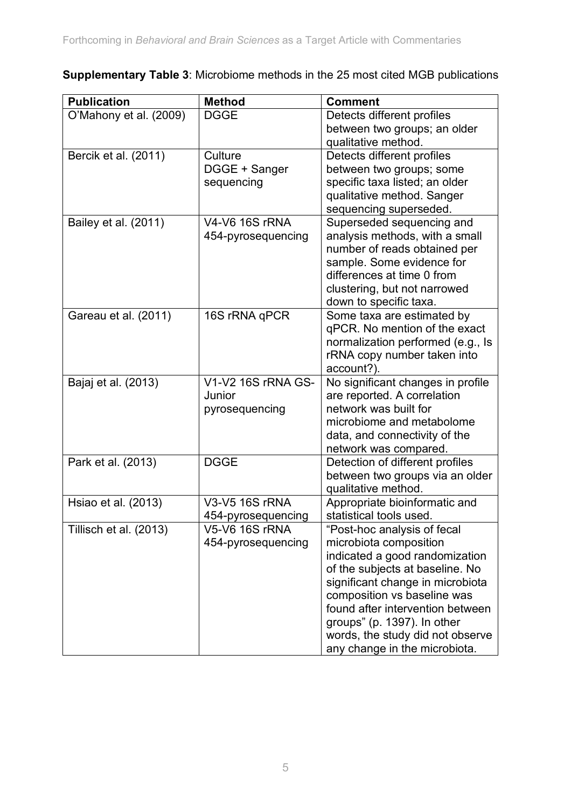| <b>Publication</b>     | <b>Method</b>                               | <b>Comment</b>                                                                                                                                                                                                                                                                                                                        |
|------------------------|---------------------------------------------|---------------------------------------------------------------------------------------------------------------------------------------------------------------------------------------------------------------------------------------------------------------------------------------------------------------------------------------|
| O'Mahony et al. (2009) | <b>DGGE</b>                                 | Detects different profiles                                                                                                                                                                                                                                                                                                            |
|                        |                                             | between two groups; an older                                                                                                                                                                                                                                                                                                          |
|                        |                                             | qualitative method.                                                                                                                                                                                                                                                                                                                   |
| Bercik et al. (2011)   | Culture                                     | Detects different profiles                                                                                                                                                                                                                                                                                                            |
|                        | DGGE + Sanger                               | between two groups; some                                                                                                                                                                                                                                                                                                              |
|                        | sequencing                                  | specific taxa listed; an older                                                                                                                                                                                                                                                                                                        |
|                        |                                             | qualitative method. Sanger                                                                                                                                                                                                                                                                                                            |
|                        |                                             | sequencing superseded.                                                                                                                                                                                                                                                                                                                |
| Bailey et al. (2011)   | <b>V4-V6 16S rRNA</b>                       | Superseded sequencing and                                                                                                                                                                                                                                                                                                             |
|                        | 454-pyrosequencing                          | analysis methods, with a small                                                                                                                                                                                                                                                                                                        |
|                        |                                             | number of reads obtained per                                                                                                                                                                                                                                                                                                          |
|                        |                                             | sample. Some evidence for                                                                                                                                                                                                                                                                                                             |
|                        |                                             | differences at time 0 from                                                                                                                                                                                                                                                                                                            |
|                        |                                             | clustering, but not narrowed                                                                                                                                                                                                                                                                                                          |
|                        |                                             | down to specific taxa.                                                                                                                                                                                                                                                                                                                |
| Gareau et al. (2011)   | 16S rRNA qPCR                               | Some taxa are estimated by                                                                                                                                                                                                                                                                                                            |
|                        |                                             | qPCR. No mention of the exact                                                                                                                                                                                                                                                                                                         |
|                        |                                             | normalization performed (e.g., Is                                                                                                                                                                                                                                                                                                     |
|                        |                                             | rRNA copy number taken into                                                                                                                                                                                                                                                                                                           |
|                        |                                             | account?).                                                                                                                                                                                                                                                                                                                            |
| Bajaj et al. (2013)    | V1-V2 16S rRNA GS-                          | No significant changes in profile                                                                                                                                                                                                                                                                                                     |
|                        | Junior                                      | are reported. A correlation                                                                                                                                                                                                                                                                                                           |
|                        | pyrosequencing                              | network was built for                                                                                                                                                                                                                                                                                                                 |
|                        |                                             | microbiome and metabolome                                                                                                                                                                                                                                                                                                             |
|                        |                                             | data, and connectivity of the                                                                                                                                                                                                                                                                                                         |
|                        |                                             | network was compared.                                                                                                                                                                                                                                                                                                                 |
| Park et al. (2013)     | <b>DGGE</b>                                 | Detection of different profiles                                                                                                                                                                                                                                                                                                       |
|                        |                                             | between two groups via an older                                                                                                                                                                                                                                                                                                       |
|                        |                                             | qualitative method.                                                                                                                                                                                                                                                                                                                   |
| Hsiao et al. (2013)    | V3-V5 16S rRNA                              | Appropriate bioinformatic and                                                                                                                                                                                                                                                                                                         |
|                        | 454-pyrosequencing                          | statistical tools used.                                                                                                                                                                                                                                                                                                               |
|                        |                                             |                                                                                                                                                                                                                                                                                                                                       |
|                        |                                             |                                                                                                                                                                                                                                                                                                                                       |
|                        |                                             |                                                                                                                                                                                                                                                                                                                                       |
|                        |                                             |                                                                                                                                                                                                                                                                                                                                       |
|                        |                                             |                                                                                                                                                                                                                                                                                                                                       |
|                        |                                             |                                                                                                                                                                                                                                                                                                                                       |
|                        |                                             |                                                                                                                                                                                                                                                                                                                                       |
|                        |                                             |                                                                                                                                                                                                                                                                                                                                       |
|                        |                                             |                                                                                                                                                                                                                                                                                                                                       |
| Tillisch et al. (2013) | <b>V5-V6 16S rRNA</b><br>454-pyrosequencing | "Post-hoc analysis of fecal<br>microbiota composition<br>indicated a good randomization<br>of the subjects at baseline. No<br>significant change in microbiota<br>composition vs baseline was<br>found after intervention between<br>groups" (p. 1397). In other<br>words, the study did not observe<br>any change in the microbiota. |

**Supplementary Table 3**: Microbiome methods in the 25 most cited MGB publications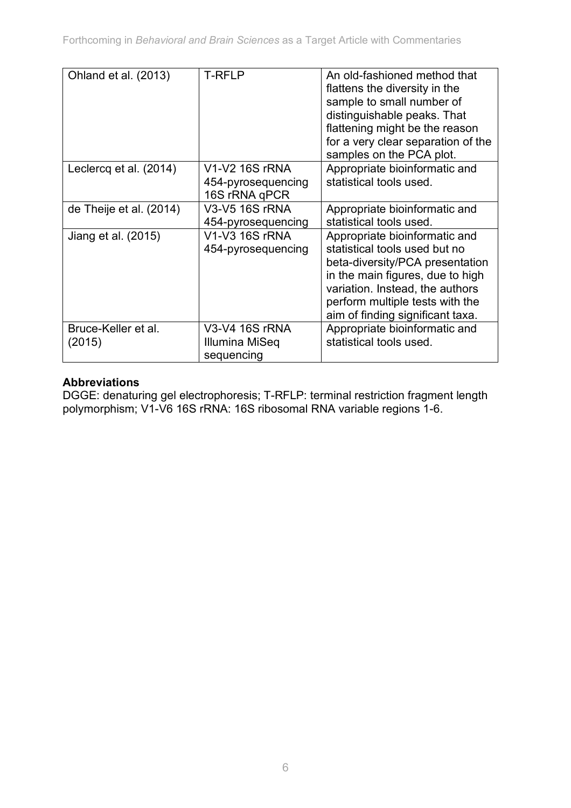| Ohland et al. (2013)          | <b>T-RFLP</b>                                         | An old-fashioned method that<br>flattens the diversity in the<br>sample to small number of<br>distinguishable peaks. That<br>flattening might be the reason<br>for a very clear separation of the<br>samples on the PCA plot.                   |
|-------------------------------|-------------------------------------------------------|-------------------------------------------------------------------------------------------------------------------------------------------------------------------------------------------------------------------------------------------------|
| Leclercq et al. (2014)        | V1-V2 16S rRNA<br>454-pyrosequencing<br>16S rRNA qPCR | Appropriate bioinformatic and<br>statistical tools used.                                                                                                                                                                                        |
| de Theije et al. (2014)       | V3-V5 16S rRNA<br>454-pyrosequencing                  | Appropriate bioinformatic and<br>statistical tools used.                                                                                                                                                                                        |
| Jiang et al. (2015)           | V1-V3 16S rRNA<br>454-pyrosequencing                  | Appropriate bioinformatic and<br>statistical tools used but no<br>beta-diversity/PCA presentation<br>in the main figures, due to high<br>variation. Instead, the authors<br>perform multiple tests with the<br>aim of finding significant taxa. |
| Bruce-Keller et al.<br>(2015) | V3-V4 16S rRNA<br>Illumina MiSeq<br>sequencing        | Appropriate bioinformatic and<br>statistical tools used.                                                                                                                                                                                        |

#### **Abbreviations**

DGGE: denaturing gel electrophoresis; T-RFLP: terminal restriction fragment length polymorphism; V1-V6 16S rRNA: 16S ribosomal RNA variable regions 1-6.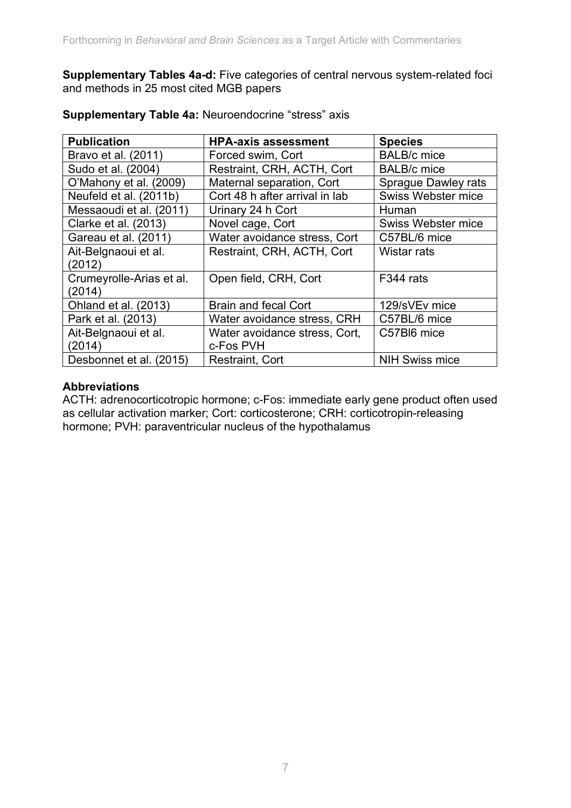**Supplementary Tables 4a-d:** Five categories of central nervous system-related foci and methods in 25 most cited MGB papers

| <b>Publication</b>       | <b>HPA-axis assessment</b>     | <b>Species</b>             |
|--------------------------|--------------------------------|----------------------------|
| Bravo et al. (2011)      | Forced swim, Cort              | <b>BALB/c</b> mice         |
| Sudo et al. (2004)       | Restraint, CRH, ACTH, Cort     | <b>BALB/c</b> mice         |
| O'Mahony et al. (2009)   | Maternal separation, Cort      | <b>Sprague Dawley rats</b> |
| Neufeld et al. (2011b)   | Cort 48 h after arrival in lab | <b>Swiss Webster mice</b>  |
| Messaoudi et al. (2011)  | Urinary 24 h Cort              | Human                      |
| Clarke et al. (2013)     | Novel cage, Cort               | Swiss Webster mice         |
| Gareau et al. (2011)     | Water avoidance stress, Cort   | C57BL/6 mice               |
| Ait-Belgnaoui et al.     | Restraint, CRH, ACTH, Cort     | Wistar rats                |
| (2012)                   |                                |                            |
| Crumeyrolle-Arias et al. | Open field, CRH, Cort          | F344 rats                  |
| (2014)                   |                                |                            |
| Ohland et al. (2013)     | <b>Brain and fecal Cort</b>    | 129/sVEv mice              |
| Park et al. (2013)       | Water avoidance stress, CRH    | C57BL/6 mice               |
| Ait-Belgnaoui et al.     | Water avoidance stress, Cort,  | C57BI6 mice                |
| (2014)                   | c-Fos PVH                      |                            |
| Desbonnet et al. (2015)  | Restraint, Cort                | <b>NIH Swiss mice</b>      |

#### **Supplementary Table 4a:** Neuroendocrine "stress" axis

#### **Abbreviations**

ACTH: adrenocorticotropic hormone; c-Fos: immediate early gene product often used as cellular activation marker; Cort: corticosterone; CRH: corticotropin-releasing hormone; PVH: paraventricular nucleus of the hypothalamus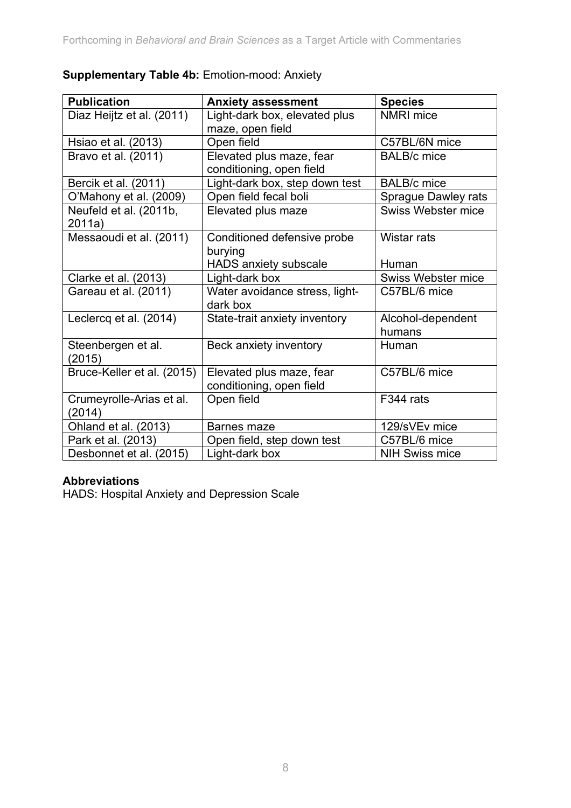|  |  | <b>Supplementary Table 4b: Emotion-mood: Anxiety</b> |  |
|--|--|------------------------------------------------------|--|
|--|--|------------------------------------------------------|--|

| <b>Publication</b>                 | <b>Anxiety assessment</b>                                              | <b>Species</b>              |
|------------------------------------|------------------------------------------------------------------------|-----------------------------|
| Diaz Heijtz et al. (2011)          | Light-dark box, elevated plus<br>maze, open field                      | <b>NMRI</b> mice            |
| Hsiao et al. (2013)                | Open field                                                             | C57BL/6N mice               |
| Bravo et al. (2011)                | Elevated plus maze, fear<br>conditioning, open field                   | <b>BALB/c</b> mice          |
| Bercik et al. (2011)               | Light-dark box, step down test                                         | <b>BALB/c</b> mice          |
| O'Mahony et al. (2009)             | Open field fecal boli                                                  | <b>Sprague Dawley rats</b>  |
| Neufeld et al. (2011b,<br>2011a)   | Elevated plus maze                                                     | <b>Swiss Webster mice</b>   |
| Messaoudi et al. (2011)            | Conditioned defensive probe<br>burying<br><b>HADS anxiety subscale</b> | Wistar rats<br>Human        |
| Clarke et al. (2013)               | Light-dark box                                                         | Swiss Webster mice          |
| Gareau et al. (2011)               | Water avoidance stress, light-<br>dark box                             | C57BL/6 mice                |
| Leclercq et al. (2014)             | State-trait anxiety inventory                                          | Alcohol-dependent<br>humans |
| Steenbergen et al.<br>(2015)       | Beck anxiety inventory                                                 | Human                       |
| Bruce-Keller et al. (2015)         | Elevated plus maze, fear<br>conditioning, open field                   | C57BL/6 mice                |
| Crumeyrolle-Arias et al.<br>(2014) | Open field                                                             | F344 rats                   |
| Ohland et al. (2013)               | Barnes maze                                                            | 129/sVEv mice               |
| Park et al. (2013)                 | Open field, step down test                                             | C57BL/6 mice                |
| Desbonnet et al. (2015)            | Light-dark box                                                         | <b>NIH Swiss mice</b>       |

#### **Abbreviations**

HADS: Hospital Anxiety and Depression Scale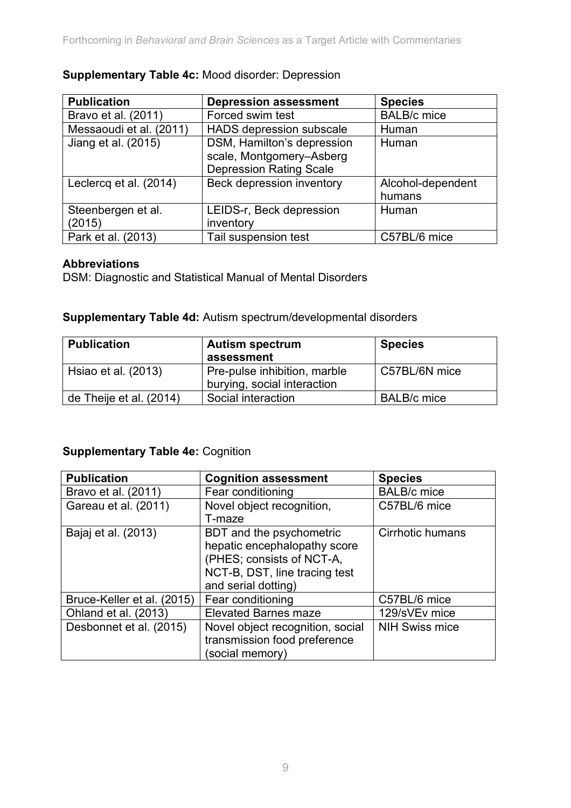| <b>Publication</b>      | <b>Depression assessment</b>   | <b>Species</b>     |
|-------------------------|--------------------------------|--------------------|
| Bravo et al. (2011)     | Forced swim test               | <b>BALB/c</b> mice |
| Messaoudi et al. (2011) | HADS depression subscale       | Human              |
| Jiang et al. (2015)     | DSM, Hamilton's depression     | Human              |
|                         | scale, Montgomery-Asberg       |                    |
|                         | <b>Depression Rating Scale</b> |                    |
| Leclercq et al. (2014)  | Beck depression inventory      | Alcohol-dependent  |
|                         |                                | humans             |
| Steenbergen et al.      | LEIDS-r, Beck depression       | Human              |
| (2015)                  | inventory                      |                    |
| Park et al. (2013)      | Tail suspension test           | C57BL/6 mice       |

#### **Supplementary Table 4c:** Mood disorder: Depression

#### **Abbreviations**

DSM: Diagnostic and Statistical Manual of Mental Disorders

**Supplementary Table 4d:** Autism spectrum/developmental disorders

| <b>Publication</b>      | <b>Autism spectrum</b><br>assessment                        | <b>Species</b>     |
|-------------------------|-------------------------------------------------------------|--------------------|
| Hsiao et al. (2013)     | Pre-pulse inhibition, marble<br>burying, social interaction | C57BL/6N mice      |
| de Theije et al. (2014) | Social interaction                                          | <b>BALB/c</b> mice |

#### **Supplementary Table 4e:** Cognition

| <b>Publication</b>         | <b>Cognition assessment</b>      | <b>Species</b>        |
|----------------------------|----------------------------------|-----------------------|
| Bravo et al. (2011)        | Fear conditioning                | <b>BALB/c</b> mice    |
| Gareau et al. (2011)       | Novel object recognition,        | C57BL/6 mice          |
|                            | T-maze                           |                       |
| Bajaj et al. (2013)        | BDT and the psychometric         | Cirrhotic humans      |
|                            | hepatic encephalopathy score     |                       |
|                            | (PHES; consists of NCT-A,        |                       |
|                            | NCT-B, DST, line tracing test    |                       |
|                            | and serial dotting)              |                       |
| Bruce-Keller et al. (2015) | Fear conditioning                | C57BL/6 mice          |
| Ohland et al. (2013)       | <b>Elevated Barnes maze</b>      | 129/sVEv mice         |
| Desbonnet et al. (2015)    | Novel object recognition, social | <b>NIH Swiss mice</b> |
|                            | transmission food preference     |                       |
|                            | (social memory)                  |                       |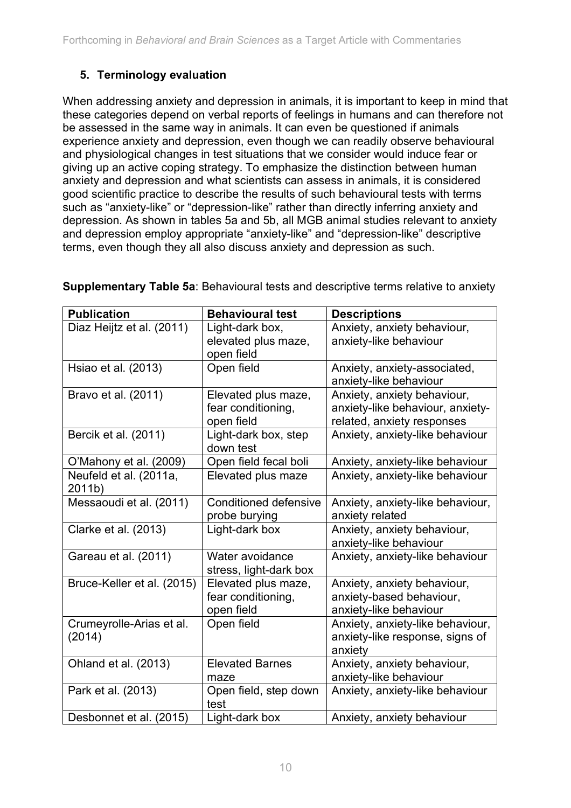### **5. Terminology evaluation**

When addressing anxiety and depression in animals, it is important to keep in mind that these categories depend on verbal reports of feelings in humans and can therefore not be assessed in the same way in animals. It can even be questioned if animals experience anxiety and depression, even though we can readily observe behavioural and physiological changes in test situations that we consider would induce fear or giving up an active coping strategy. To emphasize the distinction between human anxiety and depression and what scientists can assess in animals, it is considered good scientific practice to describe the results of such behavioural tests with terms such as "anxiety-like" or "depression-like" rather than directly inferring anxiety and depression. As shown in tables 5a and 5b, all MGB animal studies relevant to anxiety and depression employ appropriate "anxiety-like" and "depression-like" descriptive terms, even though they all also discuss anxiety and depression as such.

| <b>Publication</b>                 | <b>Behavioural test</b>                                 | <b>Descriptions</b>                                                                           |
|------------------------------------|---------------------------------------------------------|-----------------------------------------------------------------------------------------------|
| Diaz Heijtz et al. (2011)          | Light-dark box,                                         | Anxiety, anxiety behaviour,                                                                   |
|                                    | elevated plus maze,<br>open field                       | anxiety-like behaviour                                                                        |
| Hsiao et al. (2013)                | Open field                                              | Anxiety, anxiety-associated,<br>anxiety-like behaviour                                        |
| Bravo et al. (2011)                | Elevated plus maze,<br>fear conditioning,<br>open field | Anxiety, anxiety behaviour,<br>anxiety-like behaviour, anxiety-<br>related, anxiety responses |
| Bercik et al. (2011)               | Light-dark box, step<br>down test                       | Anxiety, anxiety-like behaviour                                                               |
| O'Mahony et al. (2009)             | Open field fecal boli                                   | Anxiety, anxiety-like behaviour                                                               |
| Neufeld et al. (2011a,<br>2011b)   | Elevated plus maze                                      | Anxiety, anxiety-like behaviour                                                               |
| Messaoudi et al. (2011)            | <b>Conditioned defensive</b><br>probe burying           | Anxiety, anxiety-like behaviour,<br>anxiety related                                           |
| Clarke et al. (2013)               | Light-dark box                                          | Anxiety, anxiety behaviour,<br>anxiety-like behaviour                                         |
| Gareau et al. (2011)               | Water avoidance<br>stress, light-dark box               | Anxiety, anxiety-like behaviour                                                               |
| Bruce-Keller et al. (2015)         | Elevated plus maze,<br>fear conditioning,<br>open field | Anxiety, anxiety behaviour,<br>anxiety-based behaviour,<br>anxiety-like behaviour             |
| Crumeyrolle-Arias et al.<br>(2014) | Open field                                              | Anxiety, anxiety-like behaviour,<br>anxiety-like response, signs of<br>anxiety                |
| Ohland et al. (2013)               | <b>Elevated Barnes</b><br>maze                          | Anxiety, anxiety behaviour,<br>anxiety-like behaviour                                         |
| Park et al. (2013)                 | Open field, step down<br>test                           | Anxiety, anxiety-like behaviour                                                               |
| Desbonnet et al. (2015)            | Light-dark box                                          | Anxiety, anxiety behaviour                                                                    |

**Supplementary Table 5a**: Behavioural tests and descriptive terms relative to anxiety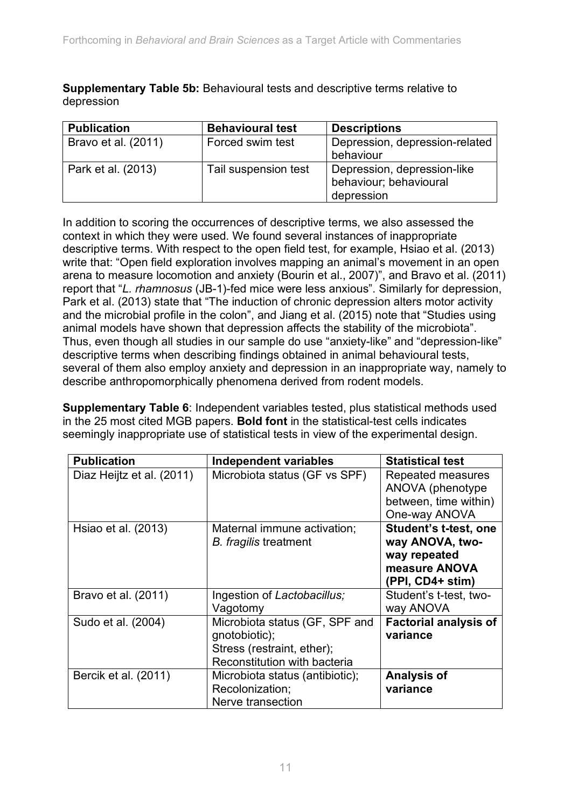**Supplementary Table 5b:** Behavioural tests and descriptive terms relative to depression

| <b>Publication</b>  | <b>Behavioural test</b> | <b>Descriptions</b>                                                 |
|---------------------|-------------------------|---------------------------------------------------------------------|
| Bravo et al. (2011) | Forced swim test        | Depression, depression-related<br>behaviour                         |
| Park et al. (2013)  | Tail suspension test    | Depression, depression-like<br>behaviour; behavioural<br>depression |

In addition to scoring the occurrences of descriptive terms, we also assessed the context in which they were used. We found several instances of inappropriate descriptive terms. With respect to the open field test, for example, Hsiao et al. (2013) write that: "Open field exploration involves mapping an animal's movement in an open arena to measure locomotion and anxiety (Bourin et al., 2007)", and Bravo et al. (2011) report that "*L. rhamnosus* (JB-1)-fed mice were less anxious". Similarly for depression, Park et al. (2013) state that "The induction of chronic depression alters motor activity and the microbial profile in the colon", and Jiang et al. (2015) note that "Studies using animal models have shown that depression affects the stability of the microbiota". Thus, even though all studies in our sample do use "anxiety-like" and "depression-like" descriptive terms when describing findings obtained in animal behavioural tests, several of them also employ anxiety and depression in an inappropriate way, namely to describe anthropomorphically phenomena derived from rodent models.

**Supplementary Table 6**: Independent variables tested, plus statistical methods used in the 25 most cited MGB papers. **Bold font** in the statistical-test cells indicates seemingly inappropriate use of statistical tests in view of the experimental design.

| <b>Publication</b>        | <b>Independent variables</b>                                                                                  | <b>Statistical test</b>                                                                              |
|---------------------------|---------------------------------------------------------------------------------------------------------------|------------------------------------------------------------------------------------------------------|
| Diaz Heijtz et al. (2011) | Microbiota status (GF vs SPF)                                                                                 | Repeated measures<br>ANOVA (phenotype)<br>between, time within)<br>One-way ANOVA                     |
| Hsiao et al. (2013)       | Maternal immune activation;<br>B. fragilis treatment                                                          | <b>Student's t-test, one</b><br>way ANOVA, two-<br>way repeated<br>measure ANOVA<br>(PPI, CD4+ stim) |
| Bravo et al. (2011)       | Ingestion of Lactobacillus;<br>Vagotomy                                                                       | Student's t-test, two-<br>way ANOVA                                                                  |
| Sudo et al. (2004)        | Microbiota status (GF, SPF and<br>gnotobiotic);<br>Stress (restraint, ether);<br>Reconstitution with bacteria | <b>Factorial analysis of</b><br>variance                                                             |
| Bercik et al. (2011)      | Microbiota status (antibiotic);<br>Recolonization;<br>Nerve transection                                       | <b>Analysis of</b><br>variance                                                                       |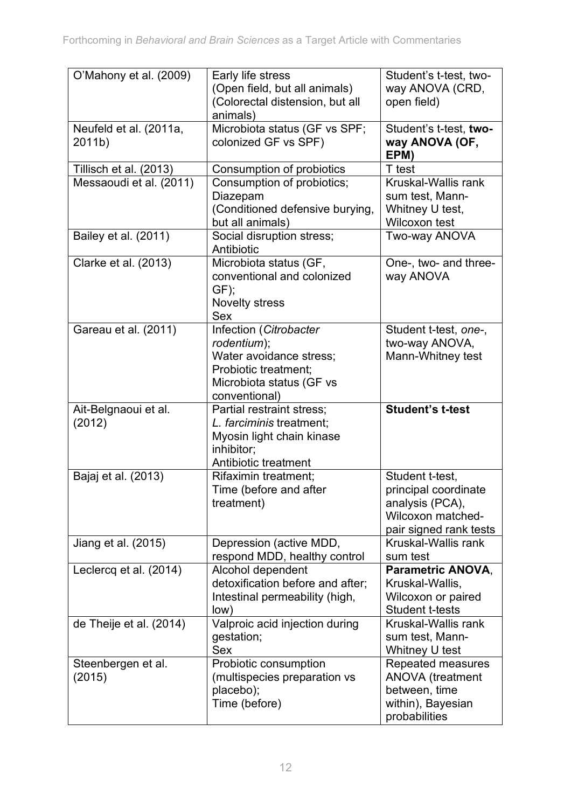| O'Mahony et al. (2009)           | Early life stress<br>(Open field, but all animals)<br>(Colorectal distension, but all<br>animals)                                     | Student's t-test, two-<br>way ANOVA (CRD,<br>open field)                                                         |
|----------------------------------|---------------------------------------------------------------------------------------------------------------------------------------|------------------------------------------------------------------------------------------------------------------|
| Neufeld et al. (2011a,<br>2011b) | Microbiota status (GF vs SPF;<br>colonized GF vs SPF)                                                                                 | Student's t-test, two-<br>way ANOVA (OF,<br>EPM)                                                                 |
| Tillisch et al. (2013)           | Consumption of probiotics                                                                                                             | T test                                                                                                           |
| Messaoudi et al. (2011)          | Consumption of probiotics;<br>Diazepam<br>(Conditioned defensive burying,<br>but all animals)                                         | Kruskal-Wallis rank<br>sum test, Mann-<br>Whitney U test,<br>Wilcoxon test                                       |
| Bailey et al. (2011)             | Social disruption stress;<br>Antibiotic                                                                                               | Two-way ANOVA                                                                                                    |
| Clarke et al. (2013)             | Microbiota status (GF,<br>conventional and colonized<br>GF);<br><b>Novelty stress</b><br><b>Sex</b>                                   | One-, two- and three-<br>way ANOVA                                                                               |
| Gareau et al. (2011)             | Infection (Citrobacter<br>rodentium);<br>Water avoidance stress;<br>Probiotic treatment;<br>Microbiota status (GF vs<br>conventional) | Student t-test, one-,<br>two-way ANOVA,<br>Mann-Whitney test                                                     |
| Ait-Belgnaoui et al.<br>(2012)   | Partial restraint stress;<br>L. farciminis treatment;<br>Myosin light chain kinase<br>inhibitor;<br>Antibiotic treatment              | <b>Student's t-test</b>                                                                                          |
| Bajaj et al. (2013)              | Rifaximin treatment;<br>Time (before and after<br>treatment)                                                                          | Student t-test,<br>principal coordinate<br>analysis (PCA),<br><b>Wilcoxon matched-</b><br>pair signed rank tests |
| Jiang et al. (2015)              | Depression (active MDD,<br>respond MDD, healthy control                                                                               | Kruskal-Wallis rank<br>sum test                                                                                  |
| Leclercq et al. (2014)           | Alcohol dependent<br>detoxification before and after;<br>Intestinal permeability (high,<br>low)                                       | <b>Parametric ANOVA.</b><br>Kruskal-Wallis,<br>Wilcoxon or paired<br><b>Student t-tests</b>                      |
| de Theije et al. (2014)          | Valproic acid injection during<br>gestation;<br><b>Sex</b>                                                                            | Kruskal-Wallis rank<br>sum test, Mann-<br>Whitney U test                                                         |
| Steenbergen et al.<br>(2015)     | Probiotic consumption<br>(multispecies preparation vs<br>placebo);<br>Time (before)                                                   | Repeated measures<br><b>ANOVA</b> (treatment<br>between, time<br>within), Bayesian<br>probabilities              |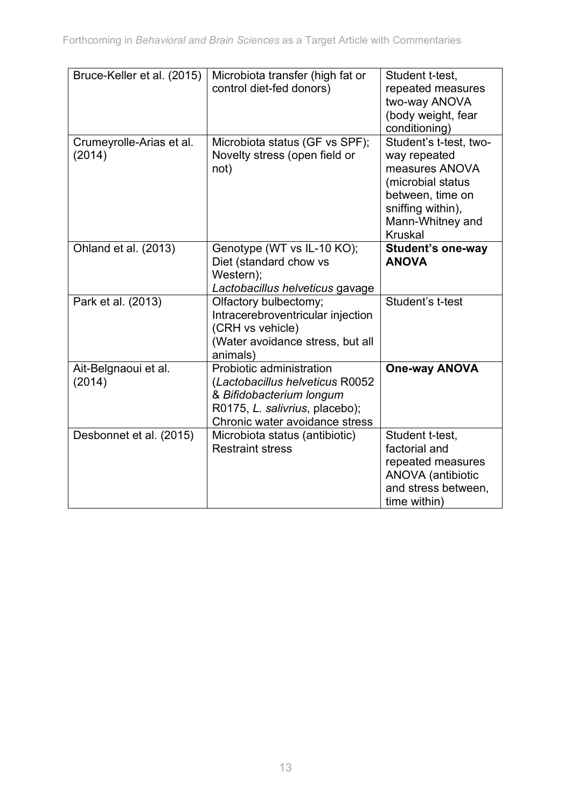| Bruce-Keller et al. (2015)         | Microbiota transfer (high fat or<br>control diet-fed donors)                                                                                                | Student t-test,<br>repeated measures<br>two-way ANOVA<br>(body weight, fear<br>conditioning)                                                                 |
|------------------------------------|-------------------------------------------------------------------------------------------------------------------------------------------------------------|--------------------------------------------------------------------------------------------------------------------------------------------------------------|
| Crumeyrolle-Arias et al.<br>(2014) | Microbiota status (GF vs SPF);<br>Novelty stress (open field or<br>not)                                                                                     | Student's t-test, two-<br>way repeated<br>measures ANOVA<br>(microbial status<br>between, time on<br>sniffing within),<br>Mann-Whitney and<br><b>Kruskal</b> |
| Ohland et al. (2013)               | Genotype (WT vs IL-10 KO);<br>Diet (standard chow vs<br>Western);<br>Lactobacillus helveticus gavage                                                        | <b>Student's one-way</b><br><b>ANOVA</b>                                                                                                                     |
| Park et al. (2013)                 | Olfactory bulbectomy;<br>Intracerebroventricular injection<br>(CRH vs vehicle)<br>(Water avoidance stress, but all<br>animals)                              | Student's t-test                                                                                                                                             |
| Ait-Belgnaoui et al.<br>(2014)     | Probiotic administration<br>(Lactobacillus helveticus R0052<br>& Bifidobacterium longum<br>R0175, L. salivrius, placebo);<br>Chronic water avoidance stress | <b>One-way ANOVA</b>                                                                                                                                         |
| Desbonnet et al. (2015)            | Microbiota status (antibiotic)<br><b>Restraint stress</b>                                                                                                   | Student t-test.<br>factorial and<br>repeated measures<br><b>ANOVA</b> (antibiotic<br>and stress between,<br>time within)                                     |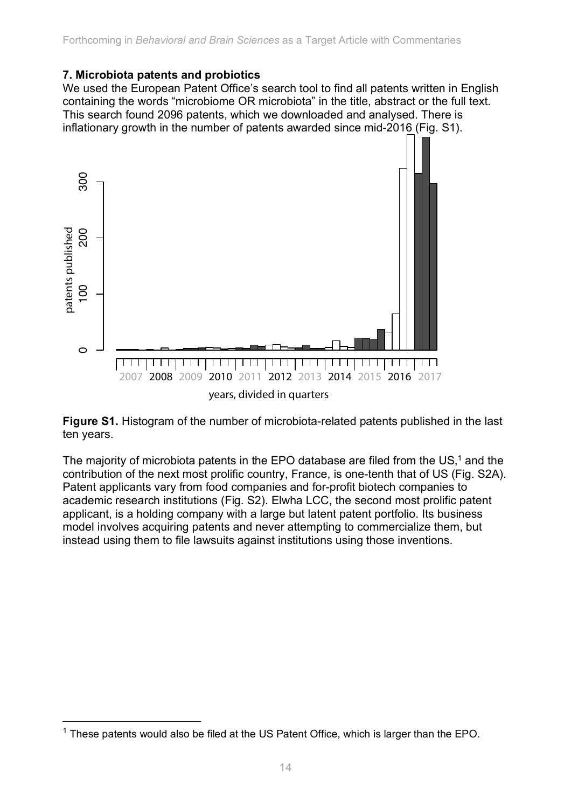#### **7. Microbiota patents and probiotics**

We used the European Patent Office's search tool to find all patents written in English containing the words "microbiome OR microbiota" in the title, abstract or the full text. This search found 2096 patents, which we downloaded and analysed. There is inflationary growth in the number of patents awarded since mid-2016 (Fig. S1).



**Figure S1.** Histogram of the number of microbiota-related patents published in the last ten years.

The majority of microbiota patents in the EPO database are filed from the  $US<sub>1</sub><sup>1</sup>$  and the contribution of the next most prolific country, France, is one-tenth that of US (Fig. S2A). Patent applicants vary from food companies and for-profit biotech companies to academic research institutions (Fig. S2). Elwha LCC, the second most prolific patent applicant, is a holding company with a large but latent patent portfolio. Its business model involves acquiring patents and never attempting to commercialize them, but instead using them to file lawsuits against institutions using those inventions.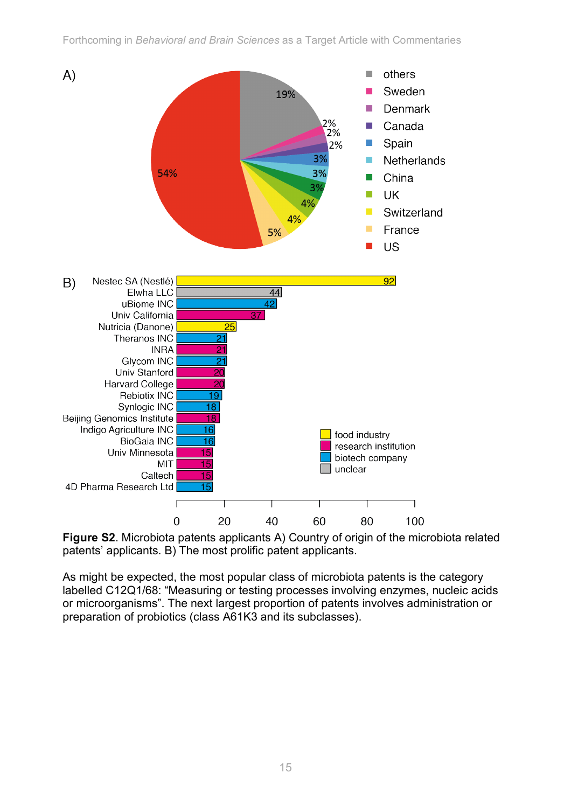

**Figure S2**. Microbiota patents applicants A) Country of origin of the microbiota related patents' applicants. B) The most prolific patent applicants.

As might be expected, the most popular class of microbiota patents is the category labelled C12Q1/68: "Measuring or testing processes involving enzymes, nucleic acids or microorganisms". The next largest proportion of patents involves administration or preparation of probiotics (class A61K3 and its subclasses).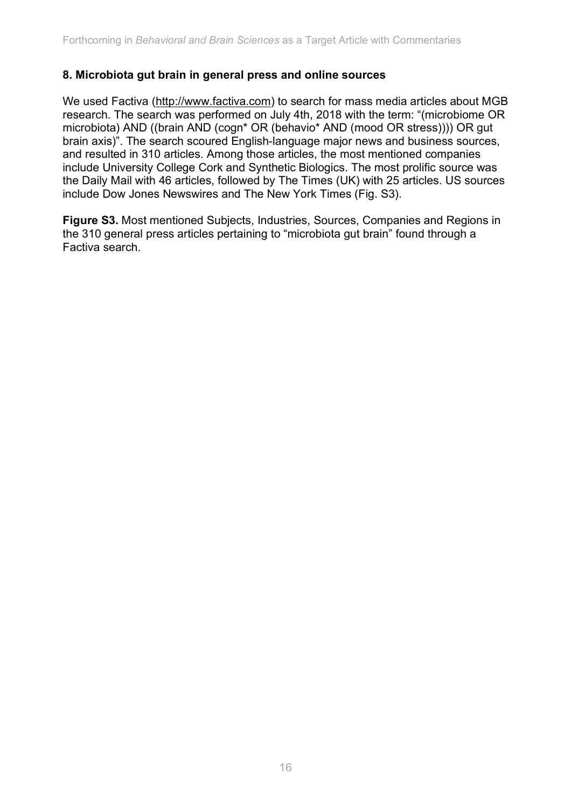#### **8. Microbiota gut brain in general press and online sources**

We used Factiva (http://www.factiva.com) to search for mass media articles about MGB research. The search was performed on July 4th, 2018 with the term: "(microbiome OR microbiota) AND ((brain AND (cogn\* OR (behavio\* AND (mood OR stress)))) OR gut brain axis)". The search scoured English-language major news and business sources, and resulted in 310 articles. Among those articles, the most mentioned companies include University College Cork and Synthetic Biologics. The most prolific source was the Daily Mail with 46 articles, followed by The Times (UK) with 25 articles. US sources include Dow Jones Newswires and The New York Times (Fig. S3).

**Figure S3.** Most mentioned Subjects, Industries, Sources, Companies and Regions in the 310 general press articles pertaining to "microbiota gut brain" found through a Factiva search.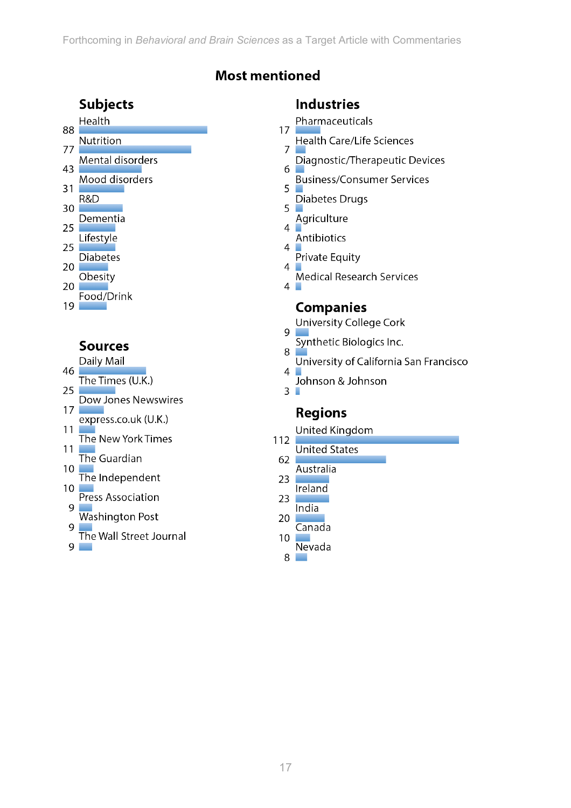# **Most mentioned**

### **Subjects**

| 88 | Health           |
|----|------------------|
| 77 | Nutrition        |
| 43 | Mental disorders |
|    | Mood disorders   |

- $31$ R&D
- 30 Dementia
- 25 Lifestyle
- 25 **Diabetes**
- $20<sub>1</sub>$
- Obesity 20
- Food/Drink 19

# **Sources**

Daily Mail

- 46 The Times (U.K.)  $25<sub>1</sub>$ Dow Jones Newswires  $17<sup>2</sup>$ express.co.uk (U.K.)
- $11$ The New York Times
- $11<sub>l</sub>$ The Guardian
- $10<sup>°</sup>$ The Independent
- $10<sub>1</sub>$ Press Association
- 9 Washington Post
- 9 The Wall Street Journal

 $9 \Box$ 

### **Industries**

Pharmaceuticals  $17$ 

- **Health Care/Life Sciences**  $\overline{7}$
- Diagnostic/Therapeutic Devices
- 6 **Business/Consumer Services**
- 5 Diabetes Drugs  $\overline{5}$
- Agriculture
- $\overline{4}$ **Antibiotics**
- $\overline{4}$ Private Equity
- 4 Medical Research Services

 $4\Box$ 

### **Companies**

- **University College Cork**
- 9 Synthetic Biologics Inc.
- 8 University of California San Francisco
- $\overline{4}$ Johnson & Johnson
- $3<sup>1</sup>$

# **Regions**

- United Kingdom
- 112 **United States** 
	- 62 Australia
	- 23 **Ireland**
	- 23 India
	- $20$ Canada
	- 10
	- Nevada 8 ٠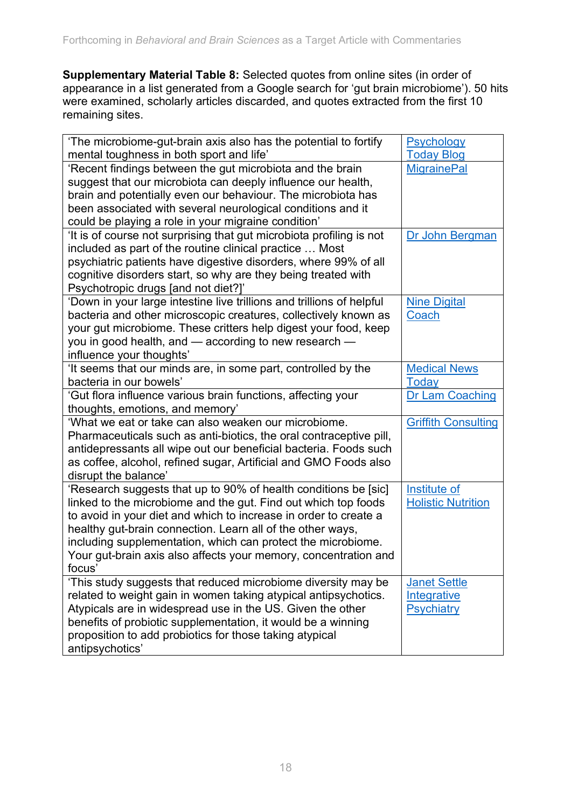**Supplementary Material Table 8:** Selected quotes from online sites (in order of appearance in a list generated from a Google search for 'gut brain microbiome'). 50 hits were examined, scholarly articles discarded, and quotes extracted from the first 10 remaining sites.

| 'The microbiome-gut-brain axis also has the potential to fortify                                                               | Psychology                              |
|--------------------------------------------------------------------------------------------------------------------------------|-----------------------------------------|
| mental toughness in both sport and life'<br>'Recent findings between the gut microbiota and the brain                          | <b>Today Blog</b><br><b>MigrainePal</b> |
| suggest that our microbiota can deeply influence our health,                                                                   |                                         |
| brain and potentially even our behaviour. The microbiota has                                                                   |                                         |
| been associated with several neurological conditions and it                                                                    |                                         |
| could be playing a role in your migraine condition'                                                                            |                                         |
| 'It is of course not surprising that gut microbiota profiling is not                                                           | Dr John Bergman                         |
| included as part of the routine clinical practice  Most                                                                        |                                         |
| psychiatric patients have digestive disorders, where 99% of all                                                                |                                         |
| cognitive disorders start, so why are they being treated with                                                                  |                                         |
| Psychotropic drugs [and not diet?]'                                                                                            |                                         |
| 'Down in your large intestine live trillions and trillions of helpful                                                          | <b>Nine Digital</b>                     |
| bacteria and other microscopic creatures, collectively known as                                                                | Coach                                   |
| your gut microbiome. These critters help digest your food, keep                                                                |                                         |
| you in good health, and – according to new research –                                                                          |                                         |
| influence your thoughts'                                                                                                       |                                         |
| It seems that our minds are, in some part, controlled by the                                                                   | <b>Medical News</b>                     |
| bacteria in our bowels'                                                                                                        | <b>Today</b>                            |
| 'Gut flora influence various brain functions, affecting your                                                                   | <b>Dr Lam Coaching</b>                  |
| thoughts, emotions, and memory'                                                                                                |                                         |
| 'What we eat or take can also weaken our microbiome.                                                                           | <b>Griffith Consulting</b>              |
| Pharmaceuticals such as anti-biotics, the oral contraceptive pill,                                                             |                                         |
| antidepressants all wipe out our beneficial bacteria. Foods such                                                               |                                         |
| as coffee, alcohol, refined sugar, Artificial and GMO Foods also                                                               |                                         |
| disrupt the balance'                                                                                                           |                                         |
| 'Research suggests that up to 90% of health conditions be [sic]                                                                | Institute of                            |
| linked to the microbiome and the gut. Find out which top foods                                                                 | <b>Holistic Nutrition</b>               |
| to avoid in your diet and which to increase in order to create a<br>healthy gut-brain connection. Learn all of the other ways, |                                         |
| including supplementation, which can protect the microbiome.                                                                   |                                         |
| Your gut-brain axis also affects your memory, concentration and                                                                |                                         |
| focus'                                                                                                                         |                                         |
| 'This study suggests that reduced microbiome diversity may be                                                                  | <b>Janet Settle</b>                     |
| related to weight gain in women taking atypical antipsychotics.                                                                | <b>Integrative</b>                      |
| Atypicals are in widespread use in the US. Given the other                                                                     | <b>Psychiatry</b>                       |
| benefits of probiotic supplementation, it would be a winning                                                                   |                                         |
| proposition to add probiotics for those taking atypical                                                                        |                                         |
| antipsychotics'                                                                                                                |                                         |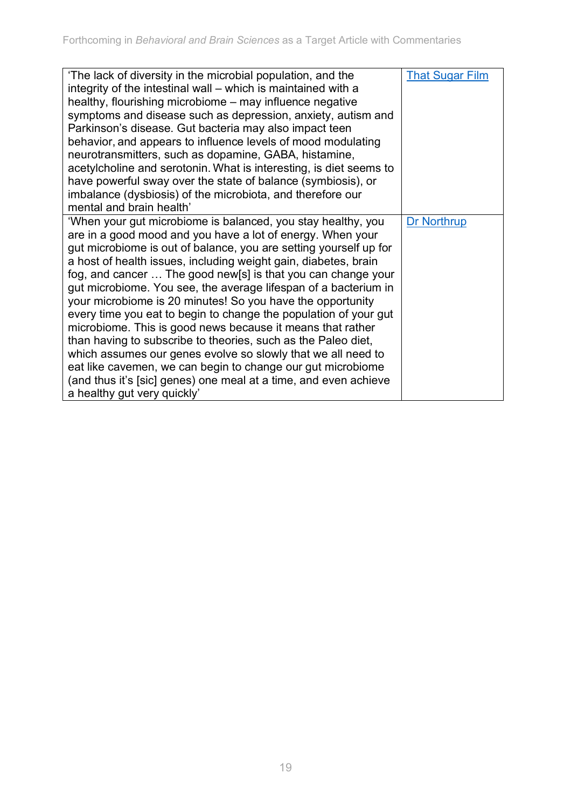| 'The lack of diversity in the microbial population, and the        | <b>That Sugar Film</b> |
|--------------------------------------------------------------------|------------------------|
| integrity of the intestinal wall – which is maintained with a      |                        |
| healthy, flourishing microbiome – may influence negative           |                        |
| symptoms and disease such as depression, anxiety, autism and       |                        |
| Parkinson's disease. Gut bacteria may also impact teen             |                        |
| behavior, and appears to influence levels of mood modulating       |                        |
| neurotransmitters, such as dopamine, GABA, histamine,              |                        |
| acetylcholine and serotonin. What is interesting, is diet seems to |                        |
| have powerful sway over the state of balance (symbiosis), or       |                        |
| imbalance (dysbiosis) of the microbiota, and therefore our         |                        |
| mental and brain health'                                           |                        |
| 'When your gut microbiome is balanced, you stay healthy, you       | <b>Dr Northrup</b>     |
| are in a good mood and you have a lot of energy. When your         |                        |
| gut microbiome is out of balance, you are setting yourself up for  |                        |
| a host of health issues, including weight gain, diabetes, brain    |                        |
| fog, and cancer  The good new[s] is that you can change your       |                        |
| gut microbiome. You see, the average lifespan of a bacterium in    |                        |
| your microbiome is 20 minutes! So you have the opportunity         |                        |
| every time you eat to begin to change the population of your gut   |                        |
| microbiome. This is good news because it means that rather         |                        |
| than having to subscribe to theories, such as the Paleo diet,      |                        |
| which assumes our genes evolve so slowly that we all need to       |                        |
| eat like cavemen, we can begin to change our gut microbiome        |                        |
| (and thus it's [sic] genes) one meal at a time, and even achieve   |                        |
| a healthy gut very quickly'                                        |                        |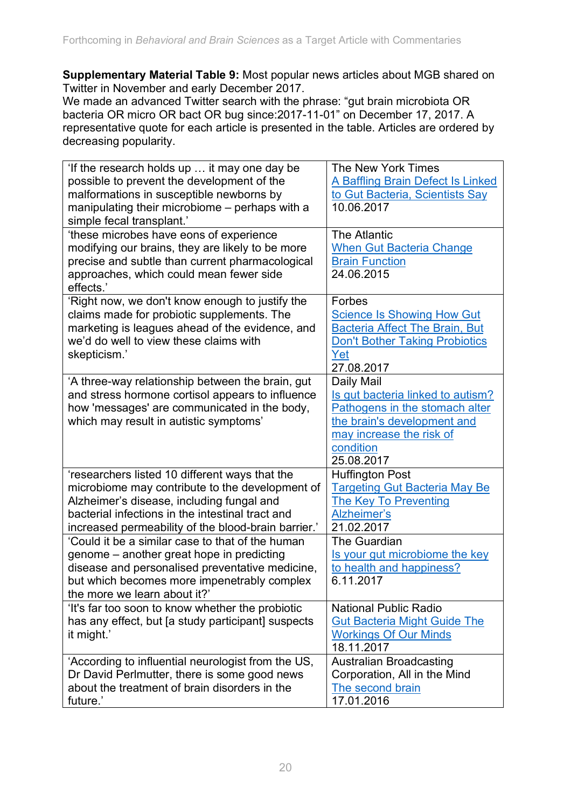**Supplementary Material Table 9:** Most popular news articles about MGB shared on Twitter in November and early December 2017.

We made an advanced Twitter search with the phrase: "gut brain microbiota OR bacteria OR micro OR bact OR bug since:2017-11-01" on December 17, 2017. A representative quote for each article is presented in the table. Articles are ordered by decreasing popularity.

| 'If the research holds up  it may one day be        | The New York Times                    |
|-----------------------------------------------------|---------------------------------------|
| possible to prevent the development of the          | A Baffling Brain Defect Is Linked     |
| malformations in susceptible newborns by            | to Gut Bacteria, Scientists Say       |
| manipulating their microbiome – perhaps with a      | 10.06.2017                            |
| simple fecal transplant.'                           |                                       |
| 'these microbes have eons of experience             | <b>The Atlantic</b>                   |
| modifying our brains, they are likely to be more    | <b>When Gut Bacteria Change</b>       |
| precise and subtle than current pharmacological     | <b>Brain Function</b>                 |
| approaches, which could mean fewer side             | 24.06.2015                            |
| effects.'                                           |                                       |
| 'Right now, we don't know enough to justify the     | Forbes                                |
| claims made for probiotic supplements. The          | <b>Science Is Showing How Gut</b>     |
| marketing is leagues ahead of the evidence, and     | <b>Bacteria Affect The Brain, But</b> |
| we'd do well to view these claims with              | <b>Don't Bother Taking Probiotics</b> |
| skepticism.'                                        | Yet                                   |
|                                                     | 27.08.2017                            |
| 'A three-way relationship between the brain, gut    | Daily Mail                            |
| and stress hormone cortisol appears to influence    | Is gut bacteria linked to autism?     |
| how 'messages' are communicated in the body,        | Pathogens in the stomach alter        |
| which may result in autistic symptoms'              | the brain's development and           |
|                                                     | may increase the risk of              |
|                                                     | condition                             |
|                                                     | 25.08.2017                            |
| 'researchers listed 10 different ways that the      | <b>Huffington Post</b>                |
| microbiome may contribute to the development of     | <b>Targeting Gut Bacteria May Be</b>  |
| Alzheimer's disease, including fungal and           | <b>The Key To Preventing</b>          |
| bacterial infections in the intestinal tract and    | Alzheimer's                           |
| increased permeability of the blood-brain barrier.' | 21.02.2017                            |
| 'Could it be a similar case to that of the human    | The Guardian                          |
| genome – another great hope in predicting           | Is your gut microbiome the key        |
| disease and personalised preventative medicine,     | to health and happiness?              |
| but which becomes more impenetrably complex         | 6.11.2017                             |
| the more we learn about it?'                        |                                       |
| 'It's far too soon to know whether the probiotic    | <b>National Public Radio</b>          |
| has any effect, but [a study participant] suspects  | <b>Gut Bacteria Might Guide The</b>   |
| it might.'                                          | <b>Workings Of Our Minds</b>          |
|                                                     | 18.11.2017                            |
| 'According to influential neurologist from the US,  | <b>Australian Broadcasting</b>        |
| Dr David Perlmutter, there is some good news        | Corporation, All in the Mind          |
| about the treatment of brain disorders in the       | The second brain                      |
| future.'                                            | 17.01.2016                            |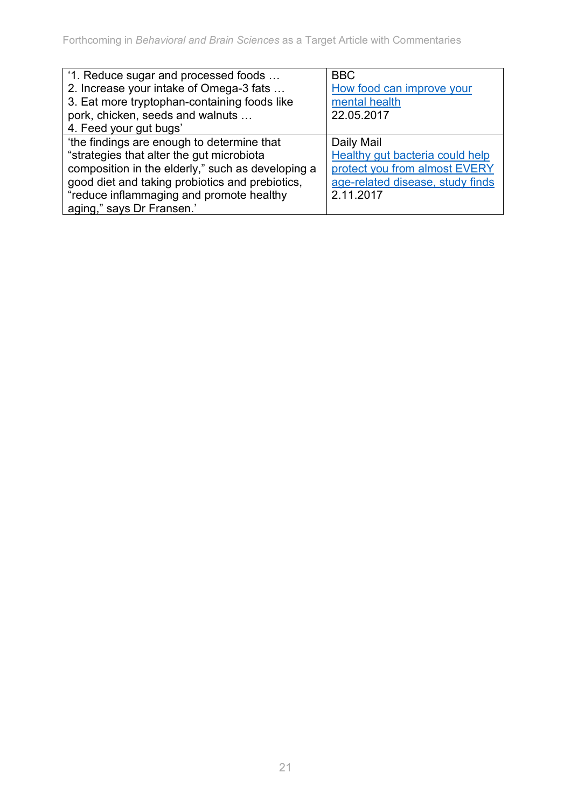| '1. Reduce sugar and processed foods              | <b>BBC</b>                       |
|---------------------------------------------------|----------------------------------|
| 2. Increase your intake of Omega-3 fats           | How food can improve your        |
| 3. Eat more tryptophan-containing foods like      | mental health                    |
| pork, chicken, seeds and walnuts                  | 22.05.2017                       |
| 4. Feed your gut bugs'                            |                                  |
| 'the findings are enough to determine that        | Daily Mail                       |
| "strategies that alter the gut microbiota         | Healthy gut bacteria could help  |
| composition in the elderly," such as developing a | protect you from almost EVERY    |
| good diet and taking probiotics and prebiotics,   | age-related disease, study finds |
| "reduce inflammaging and promote healthy          | 2.11.2017                        |
| aging," says Dr Fransen.'                         |                                  |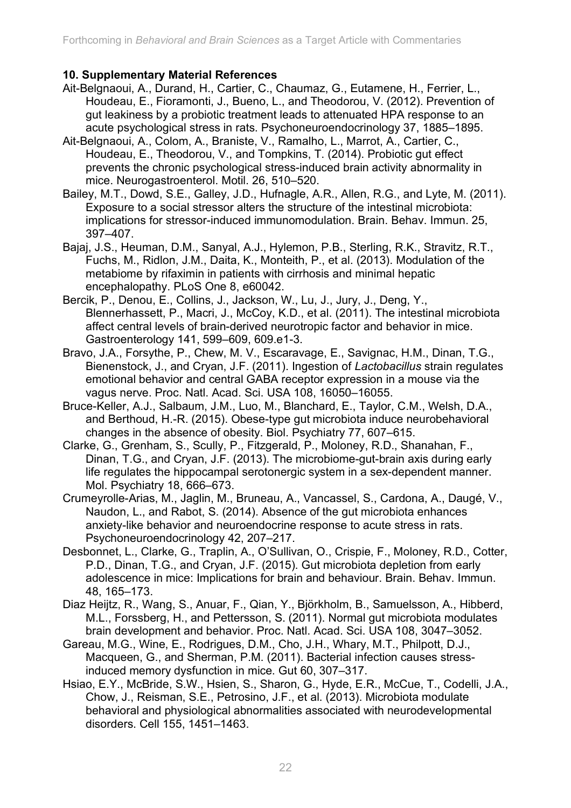#### **10. Supplementary Material References**

- Ait-Belgnaoui, A., Durand, H., Cartier, C., Chaumaz, G., Eutamene, H., Ferrier, L., Houdeau, E., Fioramonti, J., Bueno, L., and Theodorou, V. (2012). Prevention of gut leakiness by a probiotic treatment leads to attenuated HPA response to an acute psychological stress in rats. Psychoneuroendocrinology 37, 1885–1895.
- Ait-Belgnaoui, A., Colom, A., Braniste, V., Ramalho, L., Marrot, A., Cartier, C., Houdeau, E., Theodorou, V., and Tompkins, T. (2014). Probiotic gut effect prevents the chronic psychological stress-induced brain activity abnormality in mice. Neurogastroenterol. Motil. 26, 510–520.
- Bailey, M.T., Dowd, S.E., Galley, J.D., Hufnagle, A.R., Allen, R.G., and Lyte, M. (2011). Exposure to a social stressor alters the structure of the intestinal microbiota: implications for stressor-induced immunomodulation. Brain. Behav. Immun. 25, 397–407.
- Bajaj, J.S., Heuman, D.M., Sanyal, A.J., Hylemon, P.B., Sterling, R.K., Stravitz, R.T., Fuchs, M., Ridlon, J.M., Daita, K., Monteith, P., et al. (2013). Modulation of the metabiome by rifaximin in patients with cirrhosis and minimal hepatic encephalopathy. PLoS One 8, e60042.
- Bercik, P., Denou, E., Collins, J., Jackson, W., Lu, J., Jury, J., Deng, Y., Blennerhassett, P., Macri, J., McCoy, K.D., et al. (2011). The intestinal microbiota affect central levels of brain-derived neurotropic factor and behavior in mice. Gastroenterology 141, 599–609, 609.e1-3.
- Bravo, J.A., Forsythe, P., Chew, M. V., Escaravage, E., Savignac, H.M., Dinan, T.G., Bienenstock, J., and Cryan, J.F. (2011). Ingestion of *Lactobacillus* strain regulates emotional behavior and central GABA receptor expression in a mouse via the vagus nerve. Proc. Natl. Acad. Sci. USA 108, 16050–16055.
- Bruce-Keller, A.J., Salbaum, J.M., Luo, M., Blanchard, E., Taylor, C.M., Welsh, D.A., and Berthoud, H.-R. (2015). Obese-type gut microbiota induce neurobehavioral changes in the absence of obesity. Biol. Psychiatry 77, 607–615.
- Clarke, G., Grenham, S., Scully, P., Fitzgerald, P., Moloney, R.D., Shanahan, F., Dinan, T.G., and Cryan, J.F. (2013). The microbiome-gut-brain axis during early life regulates the hippocampal serotonergic system in a sex-dependent manner. Mol. Psychiatry 18, 666–673.
- Crumeyrolle-Arias, M., Jaglin, M., Bruneau, A., Vancassel, S., Cardona, A., Daugé, V., Naudon, L., and Rabot, S. (2014). Absence of the gut microbiota enhances anxiety-like behavior and neuroendocrine response to acute stress in rats. Psychoneuroendocrinology 42, 207–217.
- Desbonnet, L., Clarke, G., Traplin, A., O'Sullivan, O., Crispie, F., Moloney, R.D., Cotter, P.D., Dinan, T.G., and Cryan, J.F. (2015). Gut microbiota depletion from early adolescence in mice: Implications for brain and behaviour. Brain. Behav. Immun. 48, 165–173.
- Diaz Heijtz, R., Wang, S., Anuar, F., Qian, Y., Björkholm, B., Samuelsson, A., Hibberd, M.L., Forssberg, H., and Pettersson, S. (2011). Normal gut microbiota modulates brain development and behavior. Proc. Natl. Acad. Sci. USA 108, 3047–3052.
- Gareau, M.G., Wine, E., Rodrigues, D.M., Cho, J.H., Whary, M.T., Philpott, D.J., Macqueen, G., and Sherman, P.M. (2011). Bacterial infection causes stressinduced memory dysfunction in mice. Gut 60, 307–317.
- Hsiao, E.Y., McBride, S.W., Hsien, S., Sharon, G., Hyde, E.R., McCue, T., Codelli, J.A., Chow, J., Reisman, S.E., Petrosino, J.F., et al. (2013). Microbiota modulate behavioral and physiological abnormalities associated with neurodevelopmental disorders. Cell 155, 1451–1463.